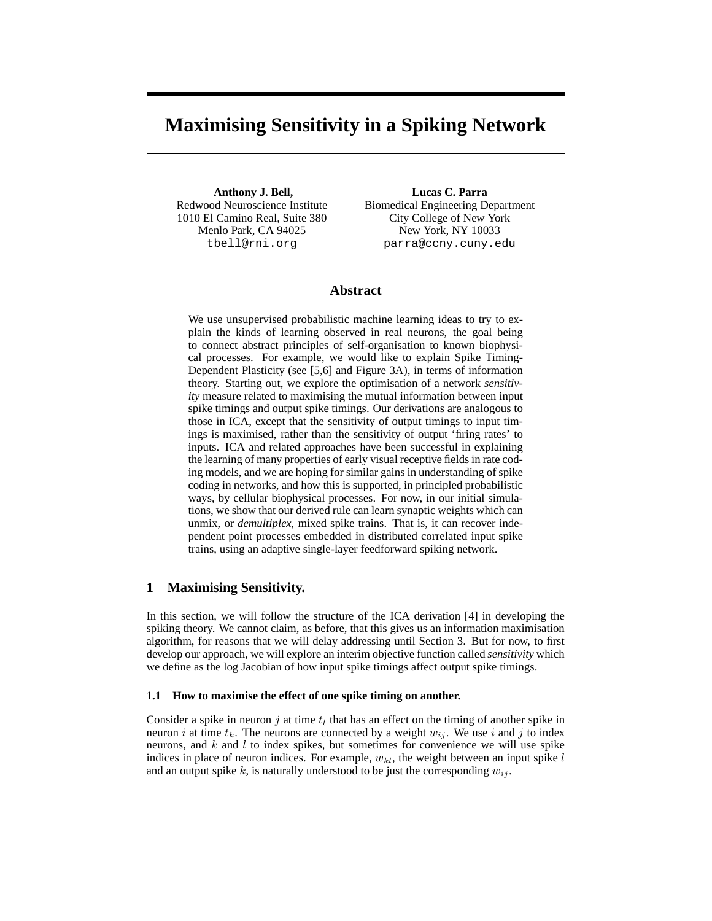# **Maximising Sensitivity in a Spiking Network**

**Anthony J. Bell,** Redwood Neuroscience Institute 1010 El Camino Real, Suite 380 Menlo Park, CA 94025 tbell@rni.org

**Lucas C. Parra** Biomedical Engineering Department City College of New York New York, NY 10033 parra@ccny.cuny.edu

# **Abstract**

We use unsupervised probabilistic machine learning ideas to try to explain the kinds of learning observed in real neurons, the goal being to connect abstract principles of self-organisation to known biophysical processes. For example, we would like to explain Spike Timing-Dependent Plasticity (see [5,6] and Figure 3A), in terms of information theory. Starting out, we explore the optimisation of a network *sensitivity* measure related to maximising the mutual information between input spike timings and output spike timings. Our derivations are analogous to those in ICA, except that the sensitivity of output timings to input timings is maximised, rather than the sensitivity of output 'firing rates' to inputs. ICA and related approaches have been successful in explaining the learning of many properties of early visual receptive fields in rate coding models, and we are hoping for similar gains in understanding of spike coding in networks, and how this is supported, in principled probabilistic ways, by cellular biophysical processes. For now, in our initial simulations, we show that our derived rule can learn synaptic weights which can unmix, or *demultiplex*, mixed spike trains. That is, it can recover independent point processes embedded in distributed correlated input spike trains, using an adaptive single-layer feedforward spiking network.

## **1 Maximising Sensitivity.**

In this section, we will follow the structure of the ICA derivation [4] in developing the spiking theory. We cannot claim, as before, that this gives us an information maximisation algorithm, for reasons that we will delay addressing until Section 3. But for now, to first develop our approach, we will explore an interim objective function called *sensitivity* which we define as the log Jacobian of how input spike timings affect output spike timings.

## **1.1 How to maximise the effect of one spike timing on another.**

Consider a spike in neuron  $j$  at time  $t_l$  that has an effect on the timing of another spike in neuron i at time  $t_k$ . The neurons are connected by a weight  $w_{ij}$ . We use i and j to index neurons, and k and l to index spikes, but sometimes for convenience we will use spike indices in place of neuron indices. For example,  $w_{kl}$ , the weight between an input spike l and an output spike k, is naturally understood to be just the corresponding  $w_{ij}$ .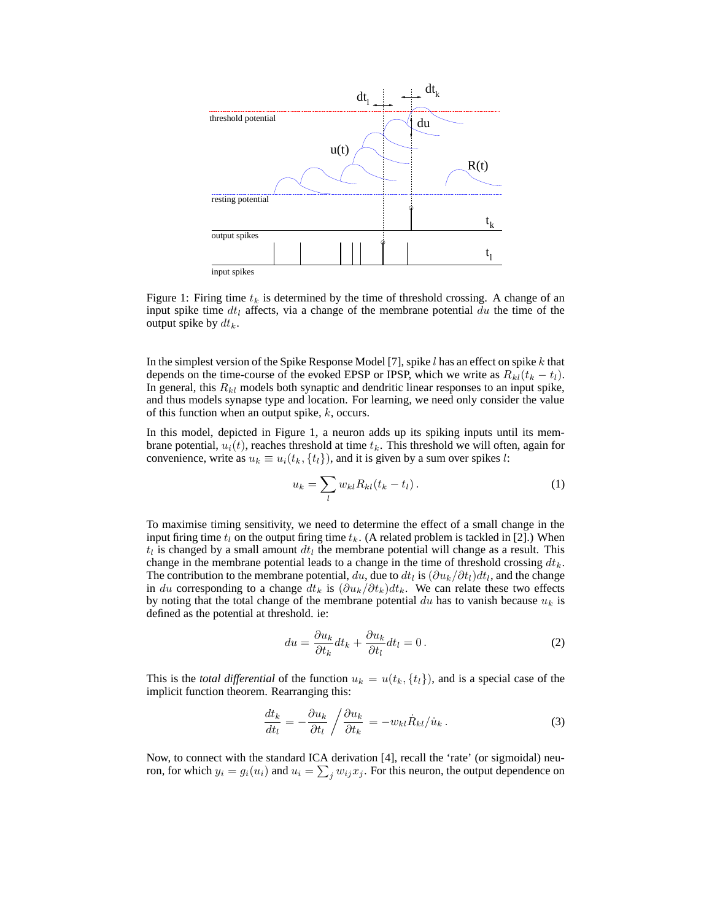

Figure 1: Firing time  $t_k$  is determined by the time of threshold crossing. A change of an input spike time  $dt_l$  affects, via a change of the membrane potential  $du$  the time of the output spike by  $dt_k$ .

In the simplest version of the Spike Response Model [7], spike  $l$  has an effect on spike  $k$  that depends on the time-course of the evoked EPSP or IPSP, which we write as  $R_{kl}(t_k - t_l)$ . In general, this  $R_{kl}$  models both synaptic and dendritic linear responses to an input spike, and thus models synapse type and location. For learning, we need only consider the value of this function when an output spike,  $k$ , occurs.

In this model, depicted in Figure 1, a neuron adds up its spiking inputs until its membrane potential,  $u_i(t)$ , reaches threshold at time  $t_k$ . This threshold we will often, again for convenience, write as  $u_k \equiv u_i(t_k, \{t_l\})$ , and it is given by a sum over spikes l:

$$
u_k = \sum_l w_{kl} R_{kl} (t_k - t_l). \tag{1}
$$

To maximise timing sensitivity, we need to determine the effect of a small change in the input firing time  $t_l$  on the output firing time  $t_k$ . (A related problem is tackled in [2].) When  $t_l$  is changed by a small amount  $dt_l$  the membrane potential will change as a result. This change in the membrane potential leads to a change in the time of threshold crossing  $dt_k$ . The contribution to the membrane potential,  $du$ , due to  $dt_l$  is  $(\partial u_k/\partial t_l)dt_l$ , and the change in du corresponding to a change  $dt_k$  is  $(\partial u_k/\partial t_k)dt_k$ . We can relate these two effects by noting that the total change of the membrane potential du has to vanish because  $u_k$  is defined as the potential at threshold. ie:

$$
du = \frac{\partial u_k}{\partial t_k} dt_k + \frac{\partial u_k}{\partial t_l} dt_l = 0.
$$
 (2)

This is the *total differential* of the function  $u_k = u(t_k, \{t_l\})$ , and is a special case of the implicit function theorem. Rearranging this:

$$
\frac{dt_k}{dt_l} = -\frac{\partial u_k}{\partial t_l} / \frac{\partial u_k}{\partial t_k} = -w_{kl} \dot{R}_{kl} / \dot{u}_k.
$$
\n(3)

Now, to connect with the standard ICA derivation [4], recall the 'rate' (or sigmoidal) neuron, for which  $y_i = g_i(u_i)$  and  $u_i = \sum_j w_{ij} x_j$ . For this neuron, the output dependence on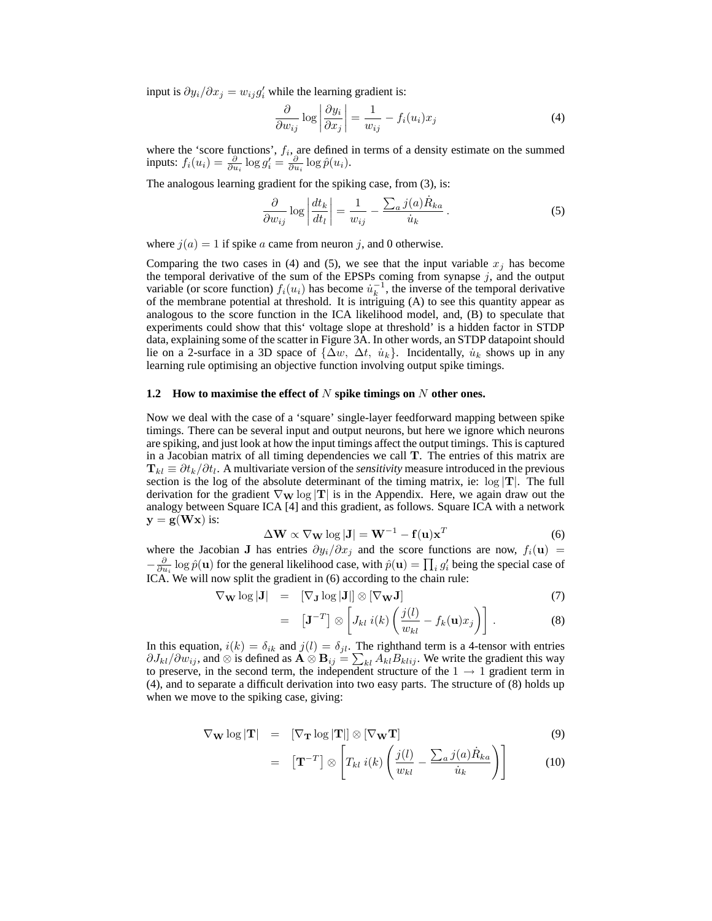input is  $\partial y_i / \partial x_j = w_{ij} g'_i$  while the learning gradient is:

$$
\frac{\partial}{\partial w_{ij}} \log \left| \frac{\partial y_i}{\partial x_j} \right| = \frac{1}{w_{ij}} - f_i(u_i)x_j \tag{4}
$$

where the 'score functions',  $f_i$ , are defined in terms of a density estimate on the summed inputs:  $f_i(u_i) = \frac{\partial}{\partial u_i} \log g'_i = \frac{\partial}{\partial u_i} \log \hat{p}(u_i)$ .

The analogous learning gradient for the spiking case, from (3), is:

$$
\frac{\partial}{\partial w_{ij}} \log \left| \frac{dt_k}{dt_l} \right| = \frac{1}{w_{ij}} - \frac{\sum_a j(a) \dot{R}_{ka}}{\dot{u}_k} \,. \tag{5}
$$

where  $j(a) = 1$  if spike a came from neuron j, and 0 otherwise.

Comparing the two cases in (4) and (5), we see that the input variable  $x_i$  has become the temporal derivative of the sum of the EPSPs coming from synapse  $j$ , and the output variable (or score function)  $f_i(u_i)$  has become  $\dot{u}_k^{-1}$ , the inverse of the temporal derivative of the membrane potential at threshold. It is intriguing (A) to see this quantity appear as analogous to the score function in the ICA likelihood model, and, (B) to speculate that experiments could show that this' voltage slope at threshold' is a hidden factor in STDP data, explaining some of the scatter in Figure 3A. In other words, an STDP datapoint should lie on a 2-surface in a 3D space of  $\{\Delta w, \Delta t, u_k\}$ . Incidentally,  $u_k$  shows up in any learning rule optimising an objective function involving output spike timings.

## **1.2 How to maximise the effect of** N **spike timings on** N **other ones.**

Now we deal with the case of a 'square' single-layer feedforward mapping between spike timings. There can be several input and output neurons, but here we ignore which neurons are spiking, and just look at how the input timings affect the output timings. This is captured in a Jacobian matrix of all timing dependencies we call  $T$ . The entries of this matrix are  $\mathbf{T}_{kl} \equiv \partial t_k / \partial t_l$ . A multivariate version of the *sensitivity* measure introduced in the previous section is the log of the absolute determinant of the timing matrix, ie: log  $|T|$ . The full derivation for the gradient  $\nabla_{\mathbf{W}} \log |\mathbf{T}|$  is in the Appendix. Here, we again draw out the analogy between Square ICA [4] and this gradient, as follows. Square ICA with a network  $y = g(Wx)$  is:

$$
\Delta \mathbf{W} \propto \nabla_{\mathbf{W}} \log |\mathbf{J}| = \mathbf{W}^{-1} - \mathbf{f}(\mathbf{u}) \mathbf{x}^T
$$
 (6)

where the Jacobian J has entries  $\partial y_i/\partial x_j$  and the score functions are now,  $f_i(\mathbf{u})$  =  $-\frac{\partial}{\partial u_i} \log \hat{p}(\mathbf{u})$  for the general likelihood case, with  $\hat{p}(\mathbf{u}) = \prod_i g'_i$  being the special case of ICA. We will now split the gradient in (6) according to the chain rule:

$$
\nabla_{\mathbf{W}} \log |\mathbf{J}| = [\nabla_{\mathbf{J}} \log |\mathbf{J}|] \otimes [\nabla_{\mathbf{W}} \mathbf{J}]
$$
(7)  
= 
$$
[\mathbf{J}^{-T}] \otimes \left[ J_{kl} i(k) \left( \frac{j(l)}{w_{kl}} - f_k(\mathbf{u}) x_j \right) \right].
$$
(8)

In this equation,  $i(k) = \delta_{ik}$  and  $j(l) = \delta_{jl}$ . The righthand term is a 4-tensor with entries  $\partial J_{kl}/\partial w_{ij}$ , and ⊗ is defined as  $\dot{\mathbf{A}} \otimes \mathbf{B}_{ij} = \sum_{kl} A_{kl} B_{klij}$ . We write the gradient this way to preserve, in the second term, the independent structure of the  $1 \rightarrow 1$  gradient term in (4), and to separate a difficult derivation into two easy parts. The structure of (8) holds up when we move to the spiking case, giving:

$$
\nabla_{\mathbf{W}} \log |\mathbf{T}| = [\nabla_{\mathbf{T}} \log |\mathbf{T}|] \otimes [\nabla_{\mathbf{W}} \mathbf{T}] \tag{9}
$$

$$
= \left[\mathbf{T}^{-T}\right] \otimes \left[T_{kl} i(k) \left(\frac{j(l)}{w_{kl}} - \frac{\sum_a j(a) \dot{R}_{ka}}{\dot{u}_k}\right)\right]
$$
(10)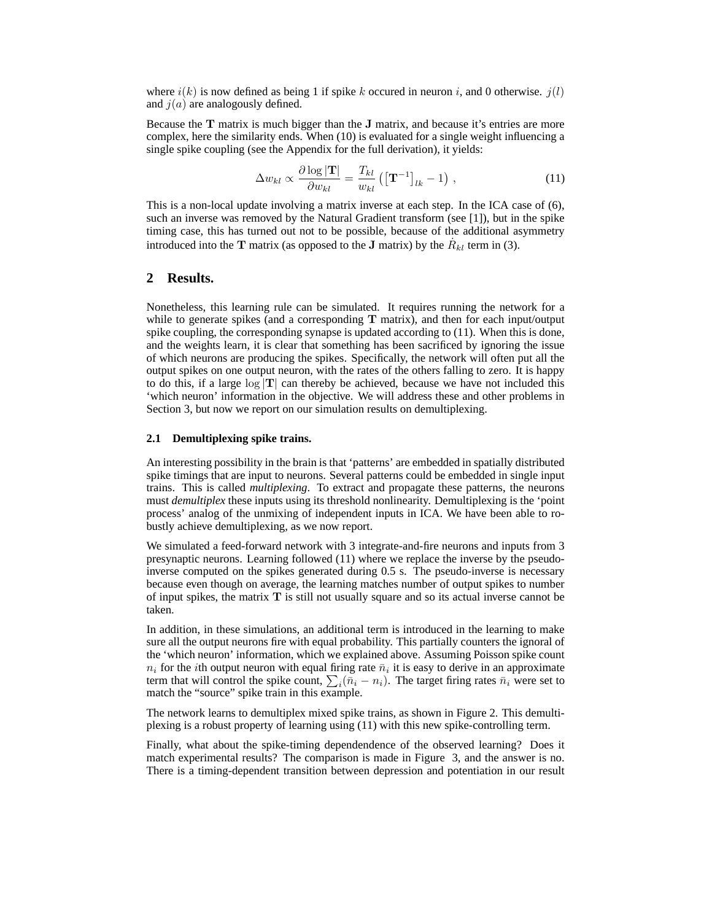where  $i(k)$  is now defined as being 1 if spike k occured in neuron i, and 0 otherwise.  $j(l)$ and  $j(a)$  are analogously defined.

Because the  $T$  matrix is much bigger than the  $J$  matrix, and because it's entries are more complex, here the similarity ends. When (10) is evaluated for a single weight influencing a single spike coupling (see the Appendix for the full derivation), it yields:

$$
\Delta w_{kl} \propto \frac{\partial \log |\mathbf{T}|}{\partial w_{kl}} = \frac{T_{kl}}{w_{kl}} \left( \left[ \mathbf{T}^{-1} \right]_{lk} - 1 \right) , \qquad (11)
$$

This is a non-local update involving a matrix inverse at each step. In the ICA case of (6), such an inverse was removed by the Natural Gradient transform (see [1]), but in the spike timing case, this has turned out not to be possible, because of the additional asymmetry introduced into the T matrix (as opposed to the J matrix) by the  $\dot{R}_{kl}$  term in (3).

## **2 Results.**

Nonetheless, this learning rule can be simulated. It requires running the network for a while to generate spikes (and a corresponding  $T$  matrix), and then for each input/output spike coupling, the corresponding synapse is updated according to (11). When this is done, and the weights learn, it is clear that something has been sacrificed by ignoring the issue of which neurons are producing the spikes. Specifically, the network will often put all the output spikes on one output neuron, with the rates of the others falling to zero. It is happy to do this, if a large  $log |T|$  can thereby be achieved, because we have not included this 'which neuron' information in the objective. We will address these and other problems in Section 3, but now we report on our simulation results on demultiplexing.

#### **2.1 Demultiplexing spike trains.**

An interesting possibility in the brain is that 'patterns' are embedded in spatially distributed spike timings that are input to neurons. Several patterns could be embedded in single input trains. This is called *multiplexing*. To extract and propagate these patterns, the neurons must *demultiplex* these inputs using its threshold nonlinearity. Demultiplexing is the 'point process' analog of the unmixing of independent inputs in ICA. We have been able to robustly achieve demultiplexing, as we now report.

We simulated a feed-forward network with 3 integrate-and-fire neurons and inputs from 3 presynaptic neurons. Learning followed (11) where we replace the inverse by the pseudoinverse computed on the spikes generated during 0.5 s. The pseudo-inverse is necessary because even though on average, the learning matches number of output spikes to number of input spikes, the matrix  $T$  is still not usually square and so its actual inverse cannot be taken.

In addition, in these simulations, an additional term is introduced in the learning to make sure all the output neurons fire with equal probability. This partially counters the ignoral of the 'which neuron' information, which we explained above. Assuming Poisson spike count  $n_i$  for the *i*th output neuron with equal firing rate  $\bar{n}_i$  it is easy to derive in an approximate term that will control the spike count,  $\sum_i (\overline{n}_i - n_i)$ . The target firing rates  $\overline{n}_i$  were set to match the "source" spike train in this example.

The network learns to demultiplex mixed spike trains, as shown in Figure 2. This demultiplexing is a robust property of learning using (11) with this new spike-controlling term.

Finally, what about the spike-timing dependendence of the observed learning? Does it match experimental results? The comparison is made in Figure 3, and the answer is no. There is a timing-dependent transition between depression and potentiation in our result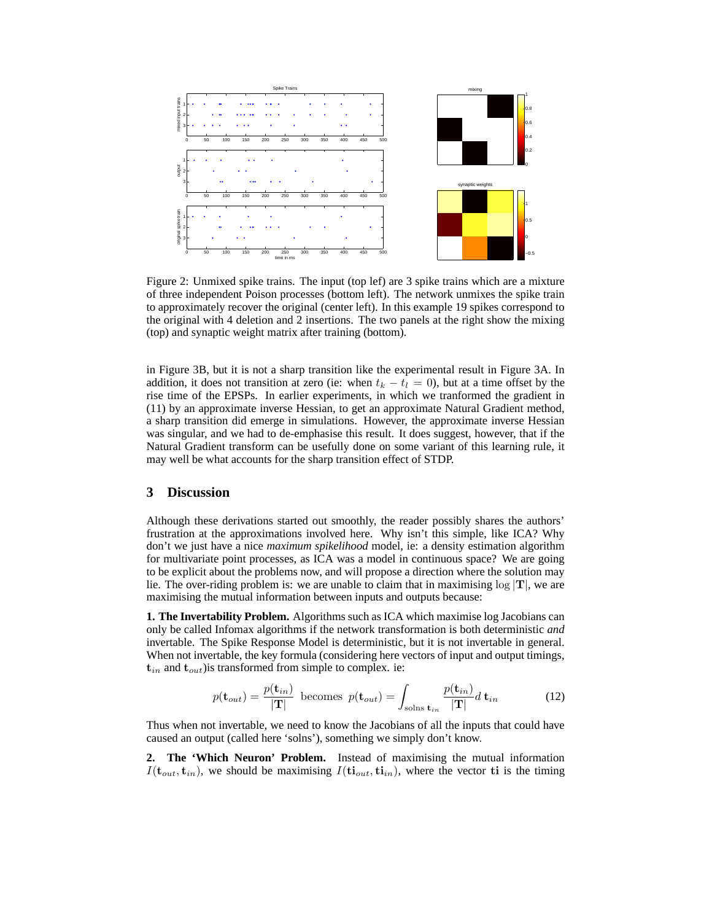

Figure 2: Unmixed spike trains. The input (top lef) are 3 spike trains which are a mixture of three independent Poison processes (bottom left). The network unmixes the spike train to approximately recover the original (center left). In this example 19 spikes correspond to the original with 4 deletion and 2 insertions. The two panels at the right show the mixing (top) and synaptic weight matrix after training (bottom).

in Figure 3B, but it is not a sharp transition like the experimental result in Figure 3A. In addition, it does not transition at zero (ie: when  $t_k - t_l = 0$ ), but at a time offset by the rise time of the EPSPs. In earlier experiments, in which we tranformed the gradient in (11) by an approximate inverse Hessian, to get an approximate Natural Gradient method, a sharp transition did emerge in simulations. However, the approximate inverse Hessian was singular, and we had to de-emphasise this result. It does suggest, however, that if the Natural Gradient transform can be usefully done on some variant of this learning rule, it may well be what accounts for the sharp transition effect of STDP.

# **3 Discussion**

Although these derivations started out smoothly, the reader possibly shares the authors' frustration at the approximations involved here. Why isn't this simple, like ICA? Why don't we just have a nice *maximum spikelihood* model, ie: a density estimation algorithm for multivariate point processes, as ICA was a model in continuous space? We are going to be explicit about the problems now, and will propose a direction where the solution may lie. The over-riding problem is: we are unable to claim that in maximising  $\log |T|$ , we are maximising the mutual information between inputs and outputs because:

**1. The Invertability Problem.** Algorithms such as ICA which maximise log Jacobians can only be called Infomax algorithms if the network transformation is both deterministic *and* invertable. The Spike Response Model is deterministic, but it is not invertable in general. When not invertable, the key formula (considering here vectors of input and output timings,  $t_{in}$  and  $t_{out}$ ) is transformed from simple to complex. ie:

$$
p(\mathbf{t}_{out}) = \frac{p(\mathbf{t}_{in})}{|\mathbf{T}|} \text{ becomes } p(\mathbf{t}_{out}) = \int_{\text{solns } \mathbf{t}_{in}} \frac{p(\mathbf{t}_{in})}{|\mathbf{T}|} d \mathbf{t}_{in} \tag{12}
$$

Thus when not invertable, we need to know the Jacobians of all the inputs that could have caused an output (called here 'solns'), something we simply don't know.

**2. The 'Which Neuron' Problem.** Instead of maximising the mutual information  $I(\mathbf{t}_{out}, \mathbf{t}_{in})$ , we should be maximising  $I(\mathbf{t}_{out}, \mathbf{t}_{in})$ , where the vector  $\mathbf{t}_{in}$  is the timing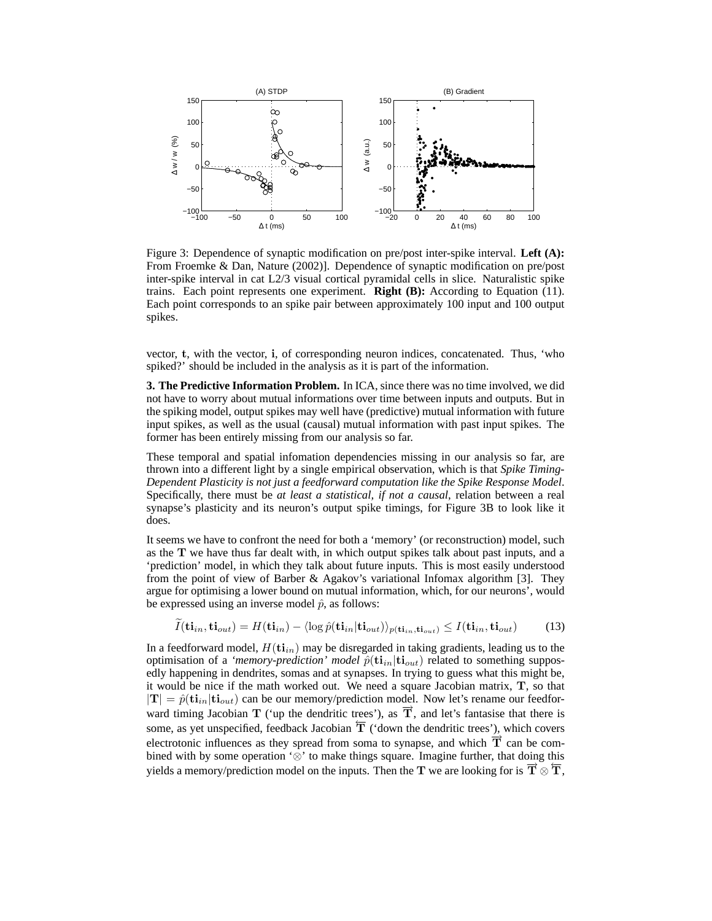

Figure 3: Dependence of synaptic modification on pre/post inter-spike interval. **Left (A):** From Froemke & Dan, Nature (2002)]. Dependence of synaptic modification on pre/post inter-spike interval in cat L2/3 visual cortical pyramidal cells in slice. Naturalistic spike trains. Each point represents one experiment. **Right (B):** According to Equation (11). Each point corresponds to an spike pair between approximately 100 input and 100 output spikes.

vector, t, with the vector, i, of corresponding neuron indices, concatenated. Thus, 'who spiked?' should be included in the analysis as it is part of the information.

**3. The Predictive Information Problem.** In ICA, since there was no time involved, we did not have to worry about mutual informations over time between inputs and outputs. But in the spiking model, output spikes may well have (predictive) mutual information with future input spikes, as well as the usual (causal) mutual information with past input spikes. The former has been entirely missing from our analysis so far.

These temporal and spatial infomation dependencies missing in our analysis so far, are thrown into a different light by a single empirical observation, which is that *Spike Timing-Dependent Plasticity is not just a feedforward computation like the Spike Response Model*. Specifically, there must be *at least a statistical, if not a causal*, relation between a real synapse's plasticity and its neuron's output spike timings, for Figure 3B to look like it does.

It seems we have to confront the need for both a 'memory' (or reconstruction) model, such as the T we have thus far dealt with, in which output spikes talk about past inputs, and a 'prediction' model, in which they talk about future inputs. This is most easily understood from the point of view of Barber & Agakov's variational Infomax algorithm [3]. They argue for optimising a lower bound on mutual information, which, for our neurons', would be expressed using an inverse model  $\hat{p}$ , as follows:

$$
I(\mathbf{ti}_{in}, \mathbf{ti}_{out}) = H(\mathbf{ti}_{in}) - \langle \log \hat{p}(\mathbf{ti}_{in}|\mathbf{ti}_{out}) \rangle_{p(\mathbf{ti}_{in}, \mathbf{ti}_{out})} \le I(\mathbf{ti}_{in}, \mathbf{ti}_{out})
$$
(13)

In a feedforward model,  $H(\mathbf{ti}_{in})$  may be disregarded in taking gradients, leading us to the optimisation of a *'memory-prediction' model*  $\hat{p}(\mathbf{ti}_{in}|\mathbf{ti}_{out})$  related to something supposedly happening in dendrites, somas and at synapses. In trying to guess what this might be, it would be nice if the math worked out. We need a square Jacobian matrix, T, so that  $|\mathbf{T}| = \hat{p}(\mathbf{ti}_{in}|\mathbf{ti}_{out})$  can be our memory/prediction model. Now let's rename our feedforward timing Jacobian T ('up the dendritic trees'), as  $\overline{T}$ , and let's fantasise that there is some, as yet unspecified, feedback Jacobian  $\overline{T}$  ('down the dendritic trees'), which covers electrotonic influences as they spread from soma to synapse, and which  $\overrightarrow{T}$  can be combined with by some operation '⊗' to make things square. Imagine further, that doing this yields a memory/prediction model on the inputs. Then the T we are looking for is  $\vec{T} \otimes \vec{T}$ ,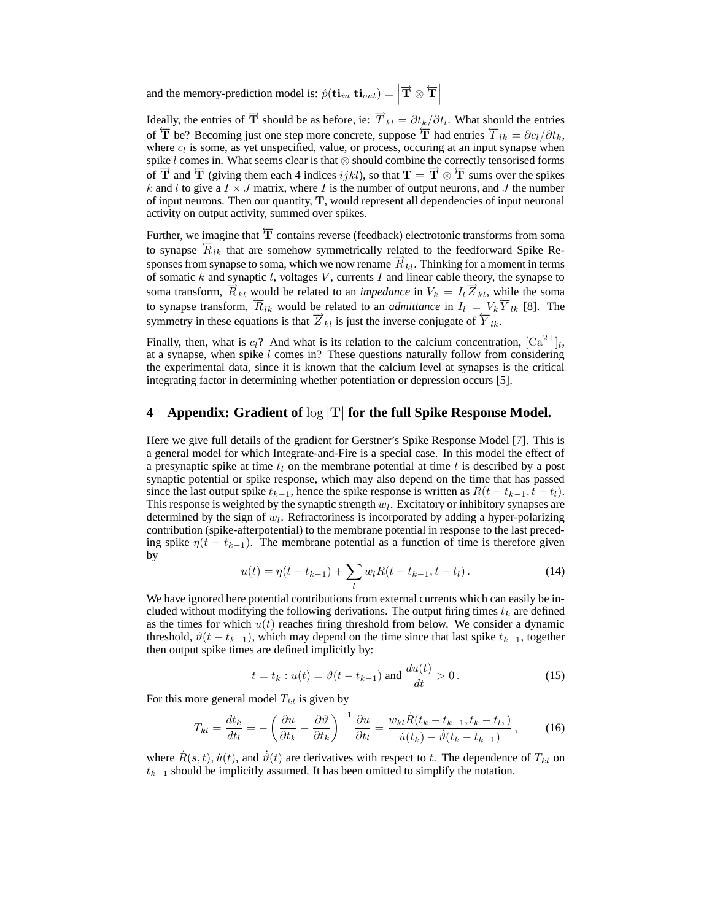and the memory-prediction model is:  $\hat{p}(\mathbf{t} \mathbf{i}_{in} | \mathbf{t} \mathbf{i}_{out}) = \left| \overrightarrow{\mathbf{T}} \otimes \overleftarrow{\mathbf{T}} \right|$ 

Ideally, the entries of  $\overrightarrow{T}$  should be as before, ie:  $\overrightarrow{T}_{kl} = \partial t_k/\partial t_l$ . What should the entries of  $\overline{T}$  be? Becoming just one step more concrete, suppose  $\overline{T}$  had entries  $\overline{T}_{lk} = \partial c_l/\partial t_k$ , where  $c_l$  is some, as yet unspecified, value, or process, occuring at an input synapse when spike l comes in. What seems clear is that ⊗ should combine the correctly tensorised forms of  $\overline{T}$  and  $\overline{T}$  (giving them each 4 indices *ijkl*), so that  $T = \overline{T} \otimes \overline{T}$  sums over the spikes k and l to give a  $I \times J$  matrix, where I is the number of output neurons, and J the number of input neurons. Then our quantity, T, would represent all dependencies of input neuronal activity on output activity, summed over spikes.

Further, we imagine that  $\overline{T}$  contains reverse (feedback) electrotonic transforms from soma to synapse  $\overline{R}_{lk}$  that are somehow symmetrically related to the feedforward Spike Responses from synapse to soma, which we now rename  $\vec{R}_{kl}$ . Thinking for a moment in terms of somatic  $k$  and synaptic  $l$ , voltages  $V$ , currents  $I$  and linear cable theory, the synapse to soma transform,  $\overline{R}_{kl}$  would be related to an *impedance* in  $V_k = I_l \overline{Z}_{kl}$ , while the soma to synapse transform,  $\overline{R}_{lk}$  would be related to an *admittance* in  $I_l = V_k \overline{Y}_{lk}$  [8]. The symmetry in these equations is that  $\overrightarrow{Z}_{kl}$  is just the inverse conjugate of  $\overleftarrow{Y}_{lk}$ .

Finally, then, what is  $c_l$ ? And what is its relation to the calcium concentration,  $\left[Ca^{2+}\right]_l$ , at a synapse, when spike  $l$  comes in? These questions naturally follow from considering the experimental data, since it is known that the calcium level at synapses is the critical integrating factor in determining whether potentiation or depression occurs [5].

# **4 Appendix: Gradient of** log |T| **for the full Spike Response Model.**

Here we give full details of the gradient for Gerstner's Spike Response Model [7]. This is a general model for which Integrate-and-Fire is a special case. In this model the effect of a presynaptic spike at time  $t_l$  on the membrane potential at time t is described by a post synaptic potential or spike response, which may also depend on the time that has passed since the last output spike  $t_{k-1}$ , hence the spike response is written as  $R(t - t_{k-1}, t - t_l)$ . This response is weighted by the synaptic strength  $w_l$ . Excitatory or inhibitory synapses are determined by the sign of  $w_l$ . Refractoriness is incorporated by adding a hyper-polarizing contribution (spike-afterpotential) to the membrane potential in response to the last preceding spike  $\eta(t - t_{k-1})$ . The membrane potential as a function of time is therefore given by

$$
u(t) = \eta(t - t_{k-1}) + \sum_{l} w_l R(t - t_{k-1}, t - t_l).
$$
 (14)

We have ignored here potential contributions from external currents which can easily be included without modifying the following derivations. The output firing times  $t_k$  are defined as the times for which  $u(t)$  reaches firing threshold from below. We consider a dynamic threshold,  $\vartheta(t - t_{k-1})$ , which may depend on the time since that last spike  $t_{k-1}$ , together then output spike times are defined implicitly by:

$$
t = t_k : u(t) = \vartheta(t - t_{k-1})
$$
 and  $\frac{du(t)}{dt} > 0$ . (15)

For this more general model  $T_{kl}$  is given by

$$
T_{kl} = \frac{dt_k}{dt_l} = -\left(\frac{\partial u}{\partial t_k} - \frac{\partial \vartheta}{\partial t_k}\right)^{-1} \frac{\partial u}{\partial t_l} = \frac{w_{kl}\dot{R}(t_k - t_{k-1}, t_k - t_l)}{\dot{u}(t_k) - \dot{v}(t_k - t_{k-1})},\tag{16}
$$

where  $\dot{R}(s, t)$ ,  $\dot{u}(t)$ , and  $\dot{\theta}(t)$  are derivatives with respect to t. The dependence of  $T_{kl}$  on  $t_{k-1}$  should be implicitly assumed. It has been omitted to simplify the notation.